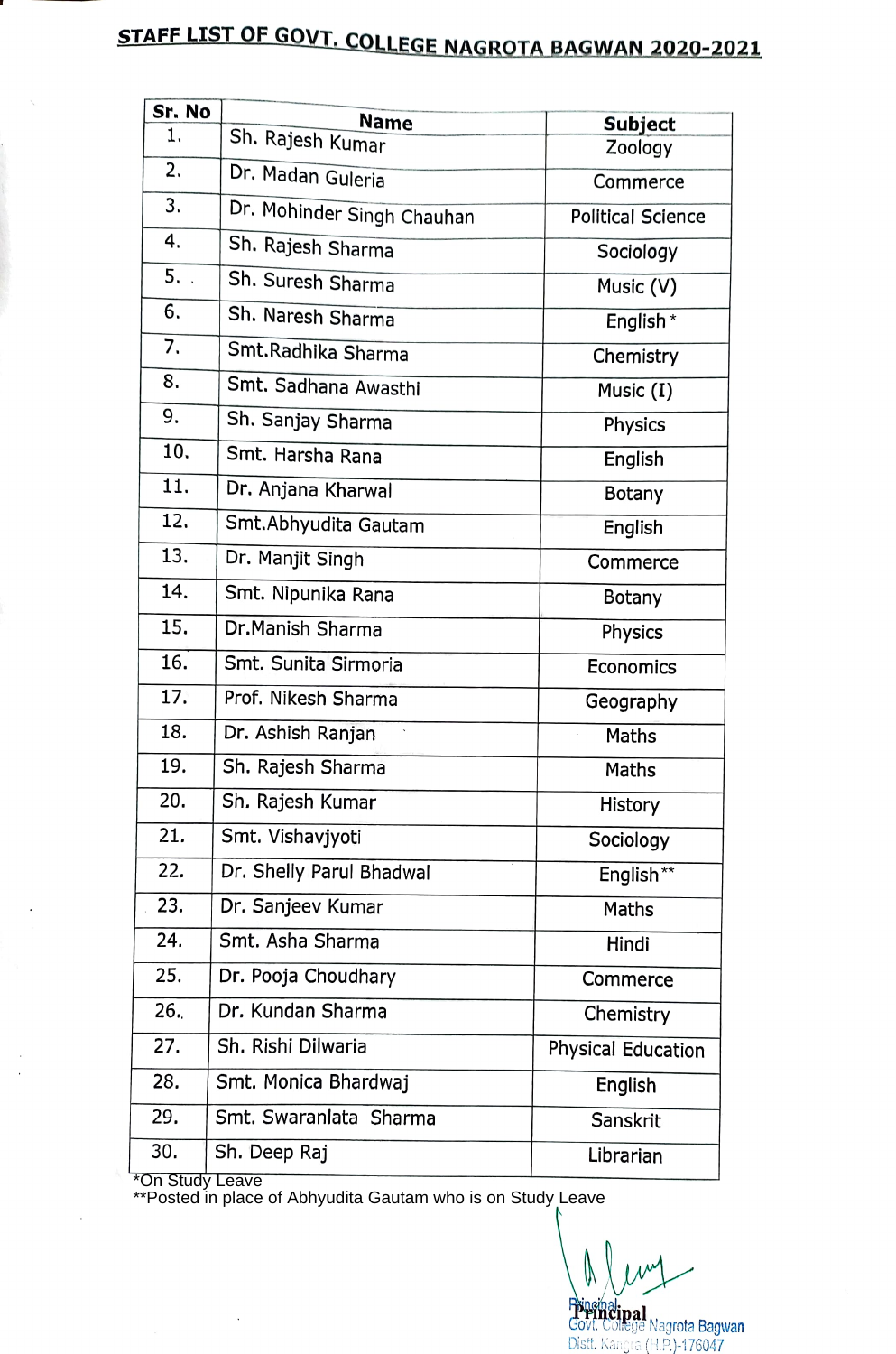## STAFF LIST OF GOVT, COLLEGE NAGROTA BAGWAN 2020-2021

| Sr. No           | <b>Name</b>                | <b>Subject</b>            |
|------------------|----------------------------|---------------------------|
| 1.               | Sh. Rajesh Kumar           | Zoology                   |
| 2.               | Dr. Madan Guleria          | Commerce                  |
| 3.               | Dr. Mohinder Singh Chauhan | <b>Political Science</b>  |
| 4.               | Sh. Rajesh Sharma          | Sociology                 |
| 5.               | Sh. Suresh Sharma          | Music (V)                 |
| 6.               | Sh. Naresh Sharma          | English *                 |
| $\overline{7}$ . | Smt. Radhika Sharma        | Chemistry                 |
| 8.               | Smt. Sadhana Awasthi       | Music (I)                 |
| 9.               | Sh. Sanjay Sharma          | Physics                   |
| 10.              | Smt. Harsha Rana           | English                   |
| 11.              | Dr. Anjana Kharwal         | <b>Botany</b>             |
| 12.              | Smt. Abhyudita Gautam      | English                   |
| 13.              | Dr. Manjit Singh           | Commerce                  |
| 14.              | Smt. Nipunika Rana         | <b>Botany</b>             |
| 15.              | Dr.Manish Sharma           | Physics                   |
| 16.              | Smt. Sunita Sirmoria       | Economics                 |
| 17.              | Prof. Nikesh Sharma        | Geography                 |
| 18.              | Dr. Ashish Ranjan          | <b>Maths</b>              |
| 19.              | Sh. Rajesh Sharma          | Maths                     |
| 20.              | Sh. Rajesh Kumar           | History                   |
| 21.              | Smt. Vishavjyoti           | Sociology                 |
| 22.              | Dr. Shelly Parul Bhadwal   | English**                 |
| 23.              | Dr. Sanjeev Kumar          | Maths                     |
| 24.              | Smt. Asha Sharma           | Hindi                     |
| 25.              | Dr. Pooja Choudhary        | Commerce                  |
| 26.              | Dr. Kundan Sharma          | Chemistry                 |
| 27.              | Sh. Rishi Dilwaria         | <b>Physical Education</b> |
| 28.              | Smt. Monica Bhardwaj       | English                   |
| 29.              | Smt. Swaranlata Sharma     | Sanskrit                  |
| 30.              | Sh. Deep Raj               | Librarian                 |

\*On Study Leave

\*\*Posted in place of Abhyudita Gautam who is on Study Leave

**Pripanalipal<br>Govt. College Nagrota Bagwan<br>Distt. Kangra (H.P.)-176047**